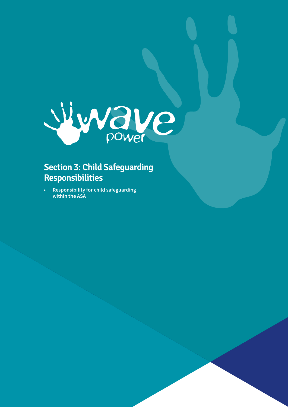

# **Section 3: Child Safeguarding Responsibilities**

**• Responsibility for child safeguarding within the ASA**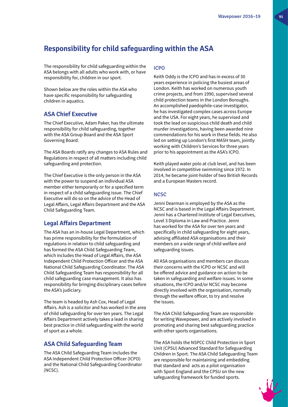# **Responsibility for child safeguarding within the ASA**

The responsibility for child safeguarding within the ASA belongs with all adults who work with, or have responsibility for, children in our sport.

Shown below are the roles within the ASA who have specific responsibility for safeguarding children in aquatics.

### **ASA Chief Executive**

The Chief Executive, Adam Paker, has the ultimate responsibility for child safeguarding, together with the ASA Group Board and the ASA Sport Governing Board.

The ASA Boards ratify any changes to ASA Rules and Regulations in respect of all matters including child safeguarding and protection.

The Chief Executive is the only person in the ASA with the power to suspend an individual ASA member either temporarily or for a specified term in respect of a child safeguarding issue. The Chief Executive will do so on the advice of the Head of Legal Affairs, Legal Affairs Department and the ASA Child Safeguarding Team.

### **Legal Affairs Department**

The ASA has an in-house Legal Department, which has prime responsibility for the formulation of regulations in relation to child safeguarding and has formed the ASA Child Safeguarding Team, which includes the Head of Legal Affairs, the ASA Independent Child Protection Officer and the ASA National Child Safeguarding Coordinator. The ASA Child Safeguarding Team has responsibility for all child safeguarding case management. It also has responsibility for bringing disciplinary cases before the ASA's judiciary.

The team is headed by Ash Cox, Head of Legal Affairs. Ash is a solicitor and has worked in the area of child safeguarding for over ten years. The Legal Affairs Department actively takes a lead in sharing best practice in child safeguarding with the world of sport as a whole.

### **ASA Child Safeguarding Team**

The ASA Child Safeguarding Team includes the ASA Independent Child Protection Officer (ICPO) and the National Child Safeguarding Coordinator (NCSC).

#### ICPO

Keith Oddy is the ICPO and has in excess of 30 years experience in policing the busiest areas of London. Keith has worked on numerous youth crime projects, and from 1990, supervised several child protection teams in the London Boroughs. An accomplished paedophile-case investigator, he has investigated complex cases across Europe and the USA. For eight years, he supervised and took the lead on suspicious child death and child murder investigations, having been awarded nine commendations for his work in these fields. He also led on setting up London's first MASH team, jointly working with Children's Services for three years prior to his appointment as the ASA's ICPO.

Keith played water polo at club level, and has been involved in competitive swimming since 1972. In 2014, he became joint-holder of two British Records and a European Masters record.

#### NCSC

Jenni Dearman is employed by the ASA as the NCSC and is based in the Legal Affairs Department. Jenni has a Chartered Institute of Legal Executives, Level 3 Diploma in Law and Practice. Jenni has worked for the ASA for over ten years and specifically in child safeguarding for eight years, advising affiliated ASA organisations and their members on a wide range of child welfare and safeguarding issues.

All ASA organisations and members can discuss their concerns with the ICPO or NCSC and will be offered advice and guidance on action to be taken in safeguarding and welfare issues. In some situations, the ICPO and/or NCSC may become directly involved with the organisation, normally through the welfare officer, to try and resolve the issues.

The ASA Child Safeguarding Team are responsible for writing Wavepower, and are actively involved in promoting and sharing best safeguarding practice with other sports organisations.

The ASA holds the NSPCC Child Protection in Sport Unit (CPSU) Advanced Standard for Safeguarding Children in Sport. The ASA Child Safeguarding Team are responsible for maintaining and embedding that standard and acts as a pilot organisation with Sport England and the CPSU on the new safeguarding framework for funded sports.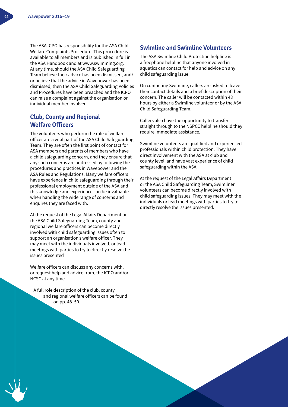The ASA ICPO has responsibility for the ASA Child Welfare Complaints Procedure. This procedure is available to all members and is published in full in the ASA Handbook and at www.swimming.org. At any time, should the ASA Child Safeguarding Team believe their advice has been dismissed, and/ or believe that the advice in Wavepower has been dismissed, then the ASA Child Safeguarding Policies and Procedures have been breached and the ICPO can raise a complaint against the organisation or individual member involved.

### **Club, County and Regional Welfare Officers**

The volunteers who perform the role of welfare officer are a vital part of the ASA Child Safeguarding Team. They are often the first point of contact for ASA members and parents of members who have a child safeguarding concern, and they ensure that any such concerns are addressed by following the procedures and practices in Wavepower and the ASA Rules and Regulations. Many welfare officers have experience in child safeguarding through their professional employment outside of the ASA and this knowledge and experience can be invaluable when handling the wide range of concerns and enquires they are faced with.

At the request of the Legal Affairs Department or the ASA Child Safeguarding Team, county and regional welfare officers can become directly involved with child safeguarding issues often to support an organisation's welfare officer. They may meet with the individuals involved, or lead meetings with parties to try to directly resolve the issues presented

Welfare officers can discuss any concerns with, or request help and advice from, the ICPO and/or NCSC at any time.

A full role description of the club, county and regional welfare officers can be found on pp. 48–50.

### **Swimline and Swimline Volunteers**

The ASA Swimline Child Protection helpline is a freephone helpline that anyone involved in aquatics can contact for help and advice on any child safeguarding issue.

On contacting Swimline, callers are asked to leave their contact details and a brief description of their concern. The caller will be contacted within 48 hours by either a Swimline volunteer or by the ASA Child Safeguarding Team.

Callers also have the opportunity to transfer straight through to the NSPCC helpline should they require immediate assistance.

Swimline volunteers are qualified and experienced professionals within child protection. They have direct involvement with the ASA at club and county level, and have vast experience of child safeguarding within the ASA.

At the request of the Legal Affairs Department or the ASA Child Safeguarding Team, Swimliner volunteers can become directly involved with child safeguarding issues. They may meet with the individuals or lead meetings with parties to try to directly resolve the issues presented.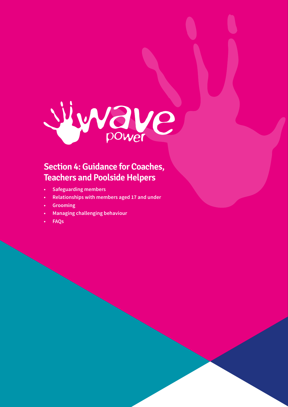

# **Section 4: Guidance for Coaches, Teachers and Poolside Helpers**

- **• Safeguarding members**
- **• Relationships with members aged 17 and under**
- **• Grooming**
- **• Managing challenging behaviour**
- **• FAQs**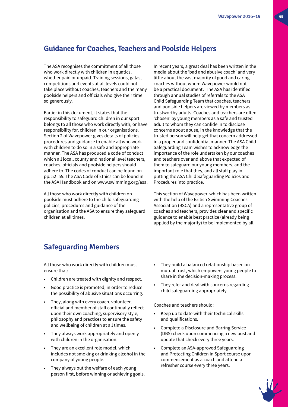# **Guidance for Coaches, Teachers and Poolside Helpers**

The ASA recognises the commitment of all those who work directly with children in aquatics, whether paid or unpaid. Training sessions, galas, competitions and events at all levels could not take place without coaches, teachers and the many poolside helpers and officials who give their time so generously.

Earlier in this document, it states that the responsibility to safeguard children in our sport belongs to all those who work directly with, or have responsibility for, children in our organisations. Section 2 of Wavepower gives details of policies, procedures and guidance to enable all who work with children to do so in a safe and appropriate manner. The ASA has produced a code of conduct which all local, county and national level teachers, coaches, officials and poolside helpers should adhere to. The codes of conduct can be found on pp. 52–55. The ASA Code of Ethics can be found in the ASA Handbook and on www.swimming.org/asa.

All those who work directly with children on poolside must adhere to the child safeguarding policies, procedures and guidance of the organisation and the ASA to ensure they safeguard children at all times.

In recent years, a great deal has been written in the media about the 'bad and abusive coach' and very little about the vast majority of good and caring coaches without whom Wavepower would not be a practical document. The ASA has identified through annual studies of referrals to the ASA Child Safeguarding Team that coaches, teachers and poolside helpers are viewed by members as trustworthy adults. Coaches and teachers are often 'chosen' by young members as a safe and trusted adult to whom they can confide in to disclose concerns about abuse, in the knowledge that the trusted person will help get that concern addressed in a proper and confidential manner. The ASA Child Safeguarding Team wishes to acknowledge the importance of the role undertaken by our coaches and teachers over and above that expected of them to safeguard our young members, and the important role that they, and all staff play in putting the ASA Child Safeguarding Policies and Procedures into practice.

This section of Wavepower, which has been written with the help of the British Swimming Coaches Association (BSCA) and a representative group of coaches and teachers, provides clear and specific guidance to enable best practice (already being applied by the majority) to be implemented by all.

# **Safeguarding Members**

All those who work directly with children must ensure that:

- Children are treated with dignity and respect.
- Good practice is promoted, in order to reduce the possibility of abusive situations occurring.
- They, along with every coach, volunteer, official and member of staff continually reflect upon their own coaching, supervisory style, philosophy and practices to ensure the safety and wellbeing of children at all times.
- They always work appropriately and openly with children in the organisation.
- They are an excellent role model, which includes not smoking or drinking alcohol in the company of young people.
- They always put the welfare of each young person first, before winning or achieving goals.
- They build a balanced relationship based on mutual trust, which empowers young people to share in the decision-making process.
- They refer and deal with concerns regarding child safeguarding appropriately.

Coaches and teachers should:

- Keep up to date with their technical skills and qualifications.
- Complete a Disclosure and Barring Service (DBS) check upon commencing a new post and update that check every three years.
- Complete an ASA-approved Safeguarding and Protecting Children in Sport course upon commencement as a coach and attend a refresher course every three years.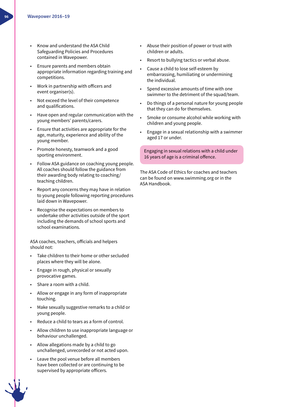- Know and understand the ASA Child Safeguarding Policies and Procedures contained in Wavepower.
- Ensure parents and members obtain appropriate information regarding training and competitions.
- Work in partnership with officers and event organiser(s).
- Not exceed the level of their competence and qualifications.
- Have open and regular communication with the young members' parents/carers.
- Ensure that activities are appropriate for the age, maturity, experience and ability of the young member.
- Promote honesty, teamwork and a good sporting environment.
- Follow ASA guidance on coaching young people. All coaches should follow the guidance from their awarding body relating to coaching/ teaching children.
- Report any concerns they may have in relation to young people following reporting procedures laid down in Wavepower.
- Recognise the expectations on members to undertake other activities outside of the sport including the demands of school sports and school examinations.

ASA coaches, teachers, officials and helpers should not:

- Take children to their home or other secluded places where they will be alone.
- Engage in rough, physical or sexually provocative games.
- Share a room with a child.
- Allow or engage in any form of inappropriate touching.
- Make sexually suggestive remarks to a child or young people.
- Reduce a child to tears as a form of control.
- Allow children to use inappropriate language or behaviour unchallenged.
- Allow allegations made by a child to go unchallenged, unrecorded or not acted upon.
- Leave the pool venue before all members have been collected or are continuing to be supervised by appropriate officers.
- Abuse their position of power or trust with children or adults.
- Resort to bullying tactics or verbal abuse.
- Cause a child to lose self-esteem by embarrassing, humiliating or undermining the individual.
- Spend excessive amounts of time with one swimmer to the detriment of the squad/team.
- Do things of a personal nature for young people that they can do for themselves.
- Smoke or consume alcohol while working with children and young people.
- Engage in a sexual relationship with a swimmer aged 17 or under.

Engaging in sexual relations with a child under 16 years of age is a criminal offence.

The ASA Code of Ethics for coaches and teachers can be found on www.swimming.org or in the ASA Handbook.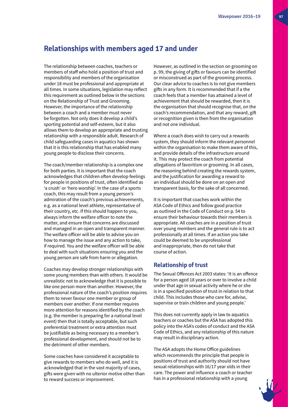## **Relationships with members aged 17 and under**

The relationship between coaches, teachers or members of staff who hold a position of trust and responsibility and members of the organisation under 18 must be professional and appropriate at all times. In some situations, legislation may reflect this requirement as outlined below in the sections on the Relationship of Trust and Grooming. However, the importance of the relationship between a coach and a member must never be forgotten. Not only does it develop a child's sporting potential and self-esteem, but it also allows them to develop an appropriate and trusting relationship with a responsible adult. Research of child safeguarding cases in aquatics has shown that it is this relationship that has enabled many young people to disclose their concerns.

The coach/member relationship is a complex one for both parties. It is important that the coach acknowledges that children often develop feelings for people in positions of trust, often identified as 'a crush' or 'hero worship'. In the case of a sports coach, this may result from a young person's admiration of the coach's previous achievements, e.g. as a national level athlete, representative of their country, etc. If this should happen to you, always inform the welfare officer to note the matter, and ensure that concerns are discussed and managed in an open and transparent manner. The welfare officer will be able to advise you on how to manage the issue and any action to take, if required. You and the welfare officer will be able to deal with such situations ensuring you and the young person are safe from harm or allegation.

Coaches may develop stronger relationships with some young members than with others. It would be unrealistic not to acknowledge that it is possible to like one person more than another. However, the professional nature of the coach's position requires them to never favour one member or group of members over another. If one member requires more attention for reasons identified by the coach (e.g. the member is preparing for a national level event) then that is totally acceptable, but such preferential treatment or extra attention must be justifiable as being necessary to a member's professional development, and should not be to the detriment of other members.

Some coaches have considered it acceptable to give rewards to members who do well, and it is acknowledged that in the vast majority of cases, gifts were given with no ulterior motive other than to reward success or improvement.

However, as outlined in the section on grooming on p. 99, the giving of gifts or favours can be identified or misconstrued as part of the grooming process. Our clear advice to coaches is to not give members gifts in any form. It is recommended that if a the coach feels that a member has attained a level of achievement that should be rewarded, then it is the organisation that should recognise that, on the coach's recommendation, and that any reward, gift or recognition given is then from the organisation and not one individual.

Where a coach does wish to carry out a rewards system, they should inform the relevant personnel within the organisation to make them aware of this, and provide details of the infrastructure around it. This may protect the coach from potential allegations of favoritism or grooming. In all cases, the reasoning behind creating the rewards system, and the justification for awarding a reward to an individual should be done on an open and transparent basis, for the sake of all concerned.

It is important that coaches work within the ASA Code of Ethics and follow good practice as outlined in the Code of Conduct on p. 54 to ensure their behaviour towards their members is appropriate. All coaches are in a position of trust over young members and the general rule is to act professionally at all times. If an action you take could be deemed to be unprofessional and inappropriate, then do not take that course of action.

### **Relationship of trust**

The Sexual Offences Act 2003 states: 'It is an offence for a person aged 18 years or over to involve a child under that age in sexual activity where he or she is in a specified position of trust in relation to that child. This includes those who care for, advise, supervise or train children and young people.'

This does not currently apply in law to aquatics teachers or coaches but the ASA has adopted this policy into the ASA's codes of conduct and the ASA Code of Ethics, and any relationship of this nature may result in disciplinary action.

The ASA adopts the Home Office guidelines which recommends the principle that people in positions of trust and authority should not have sexual relationships with 16/17 year olds in their care. The power and influence a coach or teacher has in a professional relationship with a young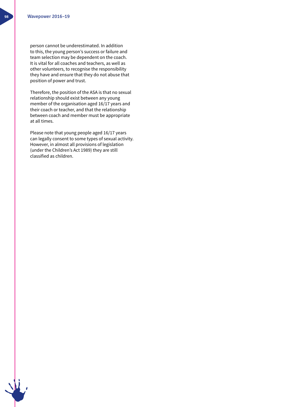person cannot be underestimated. In addition to this, the young person's success or failure and team selection may be dependent on the coach. It is vital for all coaches and teachers, as well as other volunteers, to recognise the responsibility they have and ensure that they do not abuse that position of power and trust.

Therefore, the position of the ASA is that no sexual relationship should exist between any young member of the organisation aged 16/17 years and their coach or teacher, and that the relationship between coach and member must be appropriate at all times.

Please note that young people aged 16/17 years can legally consent to some types of sexual activity. However, in almost all provisions of legislation (under the Children's Act 1989) they are still classified as children.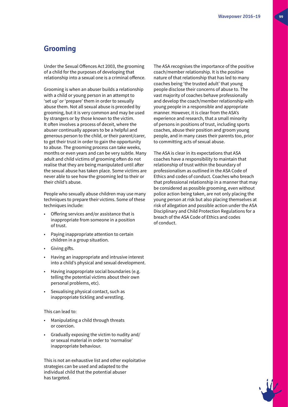## **Grooming**

Under the Sexual Offences Act 2003, the grooming of a child for the purposes of developing that relationship into a sexual one is a criminal offence.

Grooming is when an abuser builds a relationship with a child or young person in an attempt to 'set up' or 'prepare' them in order to sexually abuse them. Not all sexual abuse is preceded by grooming, but it is very common and may be used by strangers or by those known to the victim. It often involves a process of deceit, where the abuser continually appears to be a helpful and generous person to the child, or their parent/carer, to get their trust in order to gain the opportunity to abuse. The grooming process can take weeks, months or even years and can be very subtle. Many adult and child victims of grooming often do not realise that they are being manipulated until after the sexual abuse has taken place. Some victims are never able to see how the grooming led to their or their child's abuse.

People who sexually abuse children may use many techniques to prepare their victims. Some of these techniques include:

- Offering services and/or assistance that is inappropriate from someone in a position of trust.
- Paying inappropriate attention to certain children in a group situation.
- Giving gifts.
- Having an inappropriate and intrusive interest into a child's physical and sexual development.
- Having inappropriate social boundaries (e.g. telling the potential victims about their own personal problems, etc).
- Sexualising physical contact, such as inappropriate tickling and wrestling.

This can lead to:

- Manipulating a child through threats or coercion.
- Gradually exposing the victim to nudity and/ or sexual material in order to 'normalise' inappropriate behaviour.

This is not an exhaustive list and other exploitative strategies can be used and adapted to the individual child that the potential abuser has targeted.

The ASA recognises the importance of the positive coach/member relationship. It is the positive nature of that relationship that has led to many coaches being 'the trusted adult' that young people disclose their concerns of abuse to. The vast majority of coaches behave professionally and develop the coach/member relationship with young people in a responsible and appropriate manner. However, it is clear from the ASA's experience and research, that a small minority of persons in positions of trust, including sports coaches, abuse their position and groom young people, and in many cases their parents too, prior to committing acts of sexual abuse.

The ASA is clear in its expectations that ASA coaches have a responsibility to maintain that relationship of trust within the boundary of professionalism as outlined in the ASA Code of Ethics and codes of conduct. Coaches who breach that professional relationship in a manner that may be considered as possible grooming, even without police action being taken, are not only placing the young person at risk but also placing themselves at risk of allegation and possible action under the ASA Disciplinary and Child Protection Regulations for a breach of the ASA Code of Ethics and codes of conduct.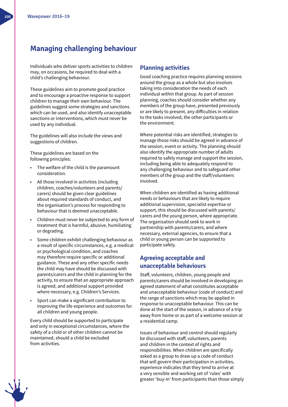# **Managing challenging behaviour**

Individuals who deliver sports activities to children may, on occasions, be required to deal with a child's challenging behaviour.

These guidelines aim to promote good practice and to encourage a proactive response to support children to manage their own behaviour. The guidelines suggest some strategies and sanctions which can be used, and also identify unacceptable sanctions or interventions, which must never be used by any individual.

The guidelines will also include the views and suggestions of children.

These guidelines are based on the following principles:

- The welfare of the child is the paramount consideration.
- All those involved in activities (including children, coaches/volunteers and parents/ carers) should be given clear guidelines about required standards of conduct, and the organisation's process for responding to behaviour that is deemed unacceptable.
- Children must never be subjected to any form of treatment that is harmful, abusive, humiliating or degrading.
- Some children exhibit challenging behaviour as a result of specific circumstances, e.g. a medical or psychological condition, and coaches may therefore require specific or additional guidance. These and any other specific needs the child may have should be discussed with parents/carers and the child in planning for the activity, to ensure that an appropriate approach is agreed, and additional support provided where necessary, e.g. Children's Services.
- Sport can make a significant contribution to improving the life experience and outcomes for all children and young people.

Every child should be supported to participate and only in exceptional circumstances, where the safety of a child or of other children cannot be maintained, should a child be excluded from activities.

#### **Planning activities**

Good coaching practice requires planning sessions around the group as a whole but also involves taking into consideration the needs of each individual within that group. As part of session planning, coaches should consider whether any members of the group have, presented previously or are likely to present, any difficulties in relation to the tasks involved, the other participants or the environment.

Where potential risks are identified, strategies to manage those risks should be agreed in advance of the session, event or activity. The planning should also identify the appropriate number of adults required to safely manage and support the session, including being able to adequately respond to any challenging behaviour and to safeguard other members of the group and the staff/volunteers involved.

When children are identified as having additional needs or behaviours that are likely to require additional supervision, specialist expertise or support, this should be discussed with parents/ carers and the young person, where appropriate. The organisation should seek to work in partnership with parents/carers, and where necessary, external agencies, to ensure that a child or young person can be supported to participate safely.

### **Agreeing acceptable and unacceptable behaviours**

Staff, volunteers, children, young people and parents/carers should be involved in developing an agreed statement of what constitutes acceptable and unacceptable behaviour (code of conduct) and the range of sanctions which may be applied in response to unacceptable behaviour. This can be done at the start of the season, in advance of a trip away from home or as part of a welcome session at a residential camp.

Issues of behaviour and control should regularly be discussed with staff, volunteers, parents and children in the context of rights and responsibilities. When children are specifically asked as a group to draw up a code of conduct that will govern their participation in activities, experience indicates that they tend to arrive at a very sensible and working set of 'rules' with greater 'buy-in' from participants than those simply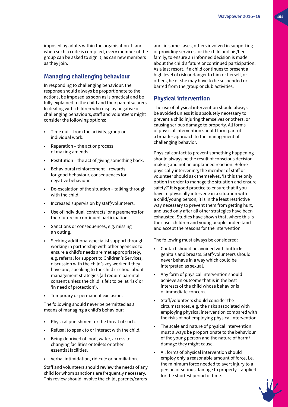imposed by adults within the organisation. If and when such a code is compiled, every member of the group can be asked to sign it, as can new members as they join.

#### **Managing challenging behaviour**

In responding to challenging behaviour, the response should always be proportionate to the actions, be imposed as soon as is practical and be fully explained to the child and their parents/carers. In dealing with children who display negative or challenging behaviours, staff and volunteers might consider the following options:

- Time out from the activity, group or individual work.
- Reparation the act or process of making amends.
- Restitution the act of giving something back.
- Behavioural reinforcement rewards for good behaviour, consequences for negative behaviour.
- De-escalation of the situation talking through with the child.
- Increased supervision by staff/volunteers.
- Use of individual 'contracts' or agreements for their future or continued participation.
- Sanctions or consequences, e.g. missing an outing.
- Seeking additional/specialist support through working in partnership with other agencies to ensure a child's needs are met appropriately, e.g. referral for support to Children's Services, discussion with the child's key worker if they have one, speaking to the child's school about management strategies (all require parental consent unless the child is felt to be 'at risk' or 'in need of protection').
- Temporary or permanent exclusion.

The following should never be permitted as a means of managing a child's behaviour:

- Physical punishment or the threat of such.
- Refusal to speak to or interact with the child.
- Being deprived of food, water, access to changing facilities or toilets or other essential facilities.
- Verbal intimidation, ridicule or humiliation.

Staff and volunteers should review the needs of any child for whom sanctions are frequently necessary. This review should involve the child, parents/carers

and, in some cases, others involved in supporting or providing services for the child and his/her family, to ensure an informed decision is made about the child's future or continued participation. As a last resort, if a child continues to present a high level of risk or danger to him or herself, or others, he or she may have to be suspended or barred from the group or club activities.

#### **Physical intervention**

The use of physical intervention should always be avoided unless it is absolutely necessary to prevent a child injuring themselves or others, or causing serious damage to property. All forms of physical intervention should form part of a broader approach to the management of challenging behavior.

Physical contact to prevent something happening should always be the result of conscious decisionmaking and not an unplanned reaction. Before physically intervening, the member of staff or volunteer should ask themselves, 'Is this the only option in order to manage the situation and ensure safety?' It is good practice to ensure that if you have to physically intervene in a situation with a child/young person, it is in the least restrictive way necessary to prevent them from getting hurt, and used only after all other strategies have been exhausted. Studies have shown that, where this is the case, children and young people understand and accept the reasons for the intervention.

The following must always be considered:

- Contact should be avoided with buttocks, genitals and breasts. Staff/volunteers should never behave in a way which could be interpreted as sexual.
- Any form of physical intervention should achieve an outcome that is in the best interests of the child whose behavior is of immediate concern.
- Staff/volunteers should consider the circumstances, e.g. the risks associated with employing physical intervention compared with the risks of not employing physical intervention.
- The scale and nature of physical intervention must always be proportionate to the behaviour of the young person and the nature of harm/ damage they might cause.
- All forms of physical intervention should employ only a reasonable amount of force, i.e. the minimum force needed to avert injury to a person or serious damage to property – applied for the shortest period of time.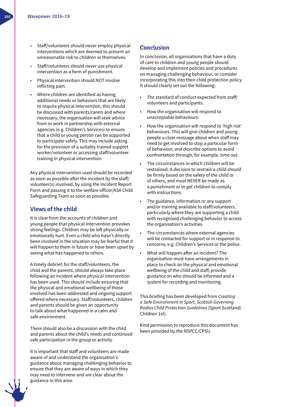- Staff/volunteers should never employ physical interventions which are deemed to present an unreasonable risk to children or themselves.
- Staff/volunteers should never use physical intervention as a form of punishment.
- Physical intervention should NOT involve inflicting pain.
- Where children are identified as having additional needs or behaviors that are likely to require physical intervention, this should be discussed with parents/carers and where necessary, the organisation will seek advice from or work in partnership with external agencies (e.g. Children's Services) to ensure that a child or young person can be supported to participate safely. This may include asking for the provision of a suitably trained support worker/volunteer or accessing staff/volunteer training in physical intervention.

Any physical intervention used should be recorded as soon as possible after the incident by the staff/ volunteer(s) involved, by using the Incident Report Form and passing it to the welfare officer/ASA Child Safeguarding Team as soon as possible.

### **Views of the child**

It is clear from the accounts of children and young people that physical intervention provokes strong feelings. Children may be left physically or emotionally hurt. Even a child who hasn't directly been involved in the situation may be fearful that it will happen to them in future or have been upset by seeing what has happened to others.

A timely debrief, for the staff/volunteers, the child and the parents, should always take place following an incident where physical intervention has been used. This should include ensuring that the physical and emotional wellbeing of those involved has been addressed and ongoing support offered where necessary. Staff/volunteers, children and parents should be given an opportunity to talk about what happened in a calm and safe environment.

There should also be a discussion with the child and parents about the child's needs and continued safe participation in the group or activity.

It is important that staff and volunteers are made aware of and understand the organisation's guidance about managing challenging behavior to ensure that they are aware of ways in which they may need to intervene and are clear about the guidance in this area.

### **Conclusion**

In conclusion, all organisations that have a duty of care to children and young people should develop and implement policies and procedures on managing challenging behaviour, or consider incorporating this into their child protection policy. It should clearly set out the following:

- The standard of conduct expected from staff/ volunteers and participants.
- How the organisation will respond to unacceptable behaviours.
- How the organisation will respond to 'high risk' behaviours. This will give children and young people a clear message about when staff may need to get involved to stop a particular form of behaviour, and describe options to avoid confrontation through, for example, time out.
- The circumstances in which children will be restrained. A decision to restrain a child should be firmly based on the safety of the child or of others, and must NEVER be made as a punishment or to get children to comply with instructions.
- The guidance, information or any support and/or training available to staff/volunteers, particularly where they are supporting a child with recognised challenging behavior to access the organisation's activities.
- The circumstances where external agencies will be contacted for support or in response to concerns, e.g. Children's Services or the police.
- What will happen after an incident? The organisation must have arrangements in place to check on the physical and emotional wellbeing of the child and staff, provide guidance on who should be informed and a system for recording and monitoring.

This briefing has been developed from *Creating a Safe Environment in Sport, Scottish Governing Bodies Child Protection Guidelines* (Sport Scotland/ Children 1st).

Kind permission to reproduce this document has been provided by the NSPCC/CPSU.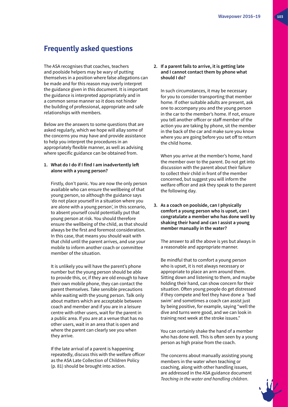# **Frequently asked questions**

The ASA recognises that coaches, teachers and poolside helpers may be wary of putting themselves in a position where false allegations can be made and for this reason may overly interpret the guidance given in this document. It is important the guidance is interpreted appropriately and in a common sense manner so it does not hinder the building of professional, appropriate and safe relationships with members.

Below are the answers to some questions that are asked regularly, which we hope will allay some of the concerns you may have and provide assistance to help you interpret the procedures in an appropriately flexible manner, as well as advising where specific guidance can be obtained from.

#### **1. What do I do if I find I am inadvertently left alone with a young person?**

 Firstly, don't panic. You are now the only person available who can ensure the wellbeing of that young person, so although the guidance says 'do not place yourself in a situation where you are alone with a young person', in this scenario, to absent yourself could potentially put that young person at risk. You should therefore ensure the wellbeing of the child, as that should always be the first and foremost consideration. In this case, that means you should wait with that child until the parent arrives, and use your mobile to inform another coach or committee member of the situation.

 It is unlikely you will have the parent's phone number but the young person should be able to provide this, or, if they are old enough to have their own mobile phone, they can contact the parent themselves. Take sensible precautions while waiting with the young person. Talk only about matters which are acceptable between coach and member and if you are in a leisure centre with other users, wait for the parent in a public area. If you are at a venue that has no other users, wait in an area that is open and where the parent can clearly see you when they arrive.

 If the late arrival of a parent is happening repeatedly, discuss this with the welfare officer as the ASA Late Collection of Children Policy (p. 81) should be brought into action.

#### **2. If a parent fails to arrive, it is getting late and I cannot contact them by phone what should I do?**

 In such circumstances, it may be necessary for you to consider transporting that member home. If other suitable adults are present, ask one to accompany you and the young person in the car to the member's home. If not, ensure you tell another officer or staff member of the action you are taking by phone, sit the member in the back of the car and make sure you know where you are going before you set off to return the child home.

 When you arrive at the member's home, hand the member over to the parent. Do not get into discussion with the parent about their failure to collect their child in front of the member concerned, but suggest you will inform the welfare officer and ask they speak to the parent the following day.

**3. As a coach on poolside, can I physically comfort a young person who is upset, can I congratulate a member who has done well by shaking their hand and can I assist a young member manually in the water?**

 The answer to all the above is yes but always in a reasonable and appropriate manner.

 Be mindful that to comfort a young person who is upset, it is not always necessary or appropriate to place an arm around them. Sitting down and listening to them, and maybe holding their hand, can show concern for their situation. Often young people do get distressed if they compete and feel they have done a 'bad swim' and sometimes a coach can assist just by being positive, for example, saying "well the dive and turns were good, and we can look in training next week at the stroke issues."

 You can certainly shake the hand of a member who has done well. This is often seen by a young person as high praise from the coach.

 The concerns about manually assisting young members in the water when teaching or coaching, along with other handling issues, are addressed in the ASA guidance document *Teaching in the water and handling children*.